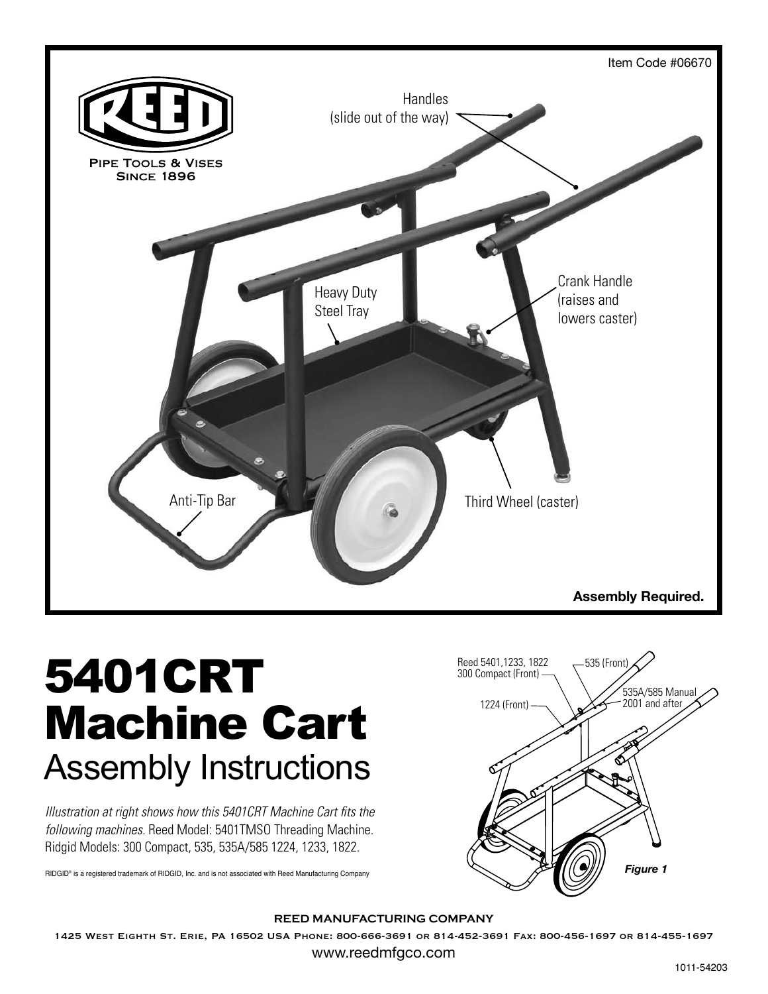

## 5401CRT Machine Cart Assembly Instructions

*Illustration at right shows how this 5401CRT Machine Cart fits the following machines.* Reed Model: 5401TMSO Threading Machine. Ridgid Models: 300 Compact, 535, 535A/585 1224, 1233, 1822.

RIDGID® is a registered trademark of RIDGID, Inc. and is not associated with Reed Manufacturing Company



## **REED MANUFACTURING COMPANY**

1425 West Eighth St. Erie, PA 16502 USA Phone: 800-666-3691 or 814-452-3691 Fax: 800-456-1697 or 814-455-1697

www.reedmfgco.com